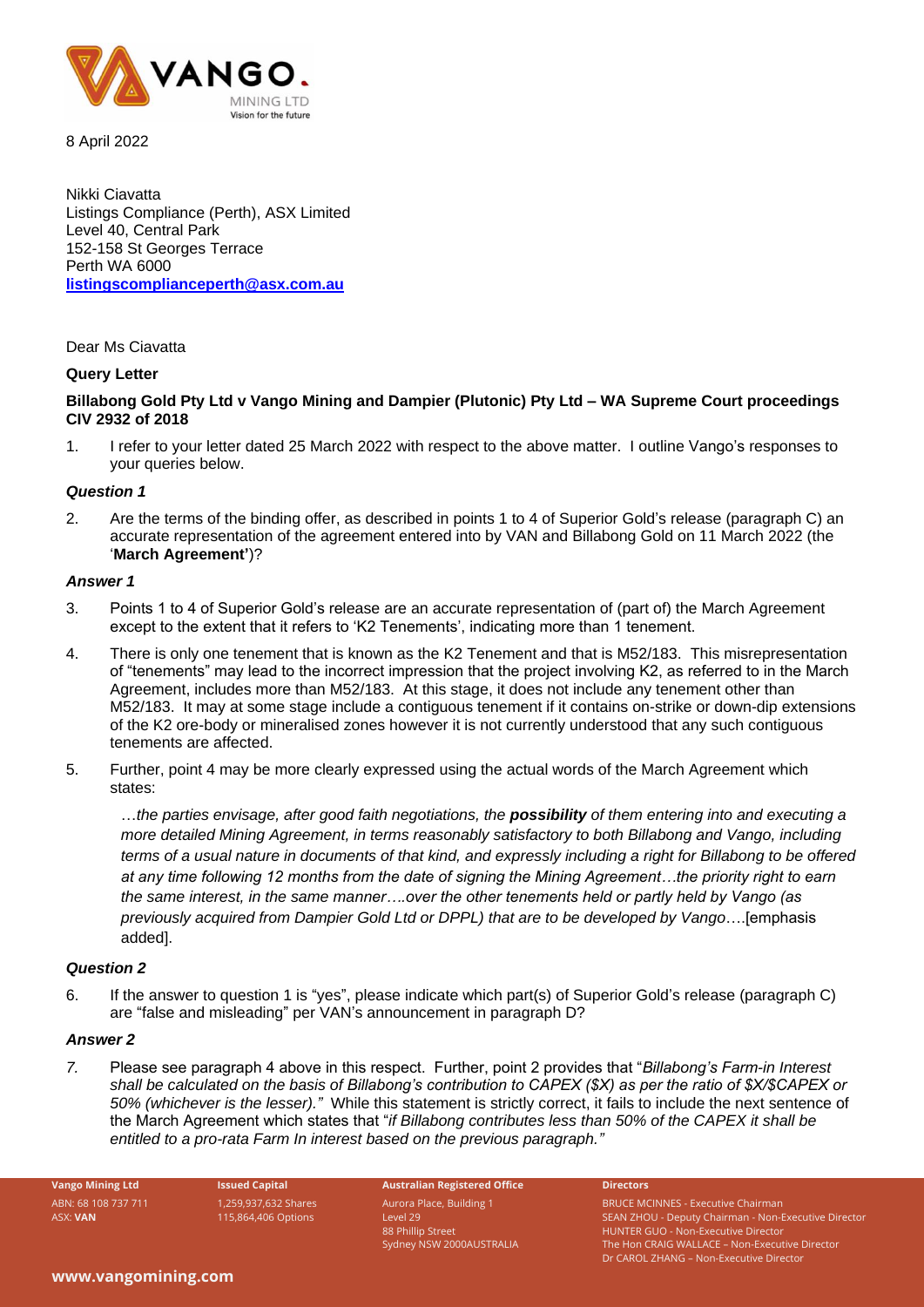

8 April 2022

Nikki Ciavatta Listings Compliance (Perth), ASX Limited Level 40, Central Park 152-158 St Georges Terrace Perth WA 6000 **[listingscomplianceperth@asx.com.au](mailto:listingscomplianceperth@asx.com.au)**

### Dear Ms Ciavatta

# **Query Letter**

# **Billabong Gold Pty Ltd v Vango Mining and Dampier (Plutonic) Pty Ltd – WA Supreme Court proceedings CIV 2932 of 2018**

1. I refer to your letter dated 25 March 2022 with respect to the above matter. I outline Vango's responses to your queries below.

### *Question 1*

2. Are the terms of the binding offer, as described in points 1 to 4 of Superior Gold's release (paragraph C) an accurate representation of the agreement entered into by VAN and Billabong Gold on 11 March 2022 (the '**March Agreement'**)?

### *Answer 1*

- 3. Points 1 to 4 of Superior Gold's release are an accurate representation of (part of) the March Agreement except to the extent that it refers to 'K2 Tenements', indicating more than 1 tenement.
- 4. There is only one tenement that is known as the K2 Tenement and that is M52/183. This misrepresentation of "tenements" may lead to the incorrect impression that the project involving K2, as referred to in the March Agreement, includes more than M52/183. At this stage, it does not include any tenement other than M52/183. It may at some stage include a contiguous tenement if it contains on-strike or down-dip extensions of the K2 ore-body or mineralised zones however it is not currently understood that any such contiguous tenements are affected.
- 5. Further, point 4 may be more clearly expressed using the actual words of the March Agreement which states:

…*the parties envisage, after good faith negotiations, the possibility of them entering into and executing a more detailed Mining Agreement, in terms reasonably satisfactory to both Billabong and Vango, including terms of a usual nature in documents of that kind, and expressly including a right for Billabong to be offered at any time following 12 months from the date of signing the Mining Agreement…the priority right to earn the same interest, in the same manner….over the other tenements held or partly held by Vango (as previously acquired from Dampier Gold Ltd or DPPL) that are to be developed by Vango*….[emphasis added].

# *Question 2*

6. If the answer to question 1 is "yes", please indicate which part(s) of Superior Gold's release (paragraph C) are "false and misleading" per VAN's announcement in paragraph D?

#### *Answer 2*

*7.* Please see paragraph 4 above in this respect. Further, point 2 provides that "*Billabong's Farm-in Interest shall be calculated on the basis of Billabong's contribution to CAPEX (\$X) as per the ratio of \$X/\$CAPEX or 50% (whichever is the lesser)."* While this statement is strictly correct, it fails to include the next sentence of the March Agreement which states that "*if Billabong contributes less than 50% of the CAPEX it shall be entitled to a pro-rata Farm In interest based on the previous paragraph."*

**Vango Mining Ltd Issued Capital Australian Registered Office Directors** ABN: 68 108 737 711 ASX: **VAN**

1,259,937,632 Shares 115,864,406 Options

Aurora Place, Building 1 Level 29 88 Phillip Street Sydney NSW 2000AUSTRALIA

BRUCE MCINNES - Executive Chairman SEAN ZHOU - Deputy Chairman - Non-Executive Director HUNTER GUO - Non-Executive Director The Hon CRAIG WALLACE – Non-Executive Director Dr CAROL ZHANG – Non-Executive Director

#### **www.vangomining.com**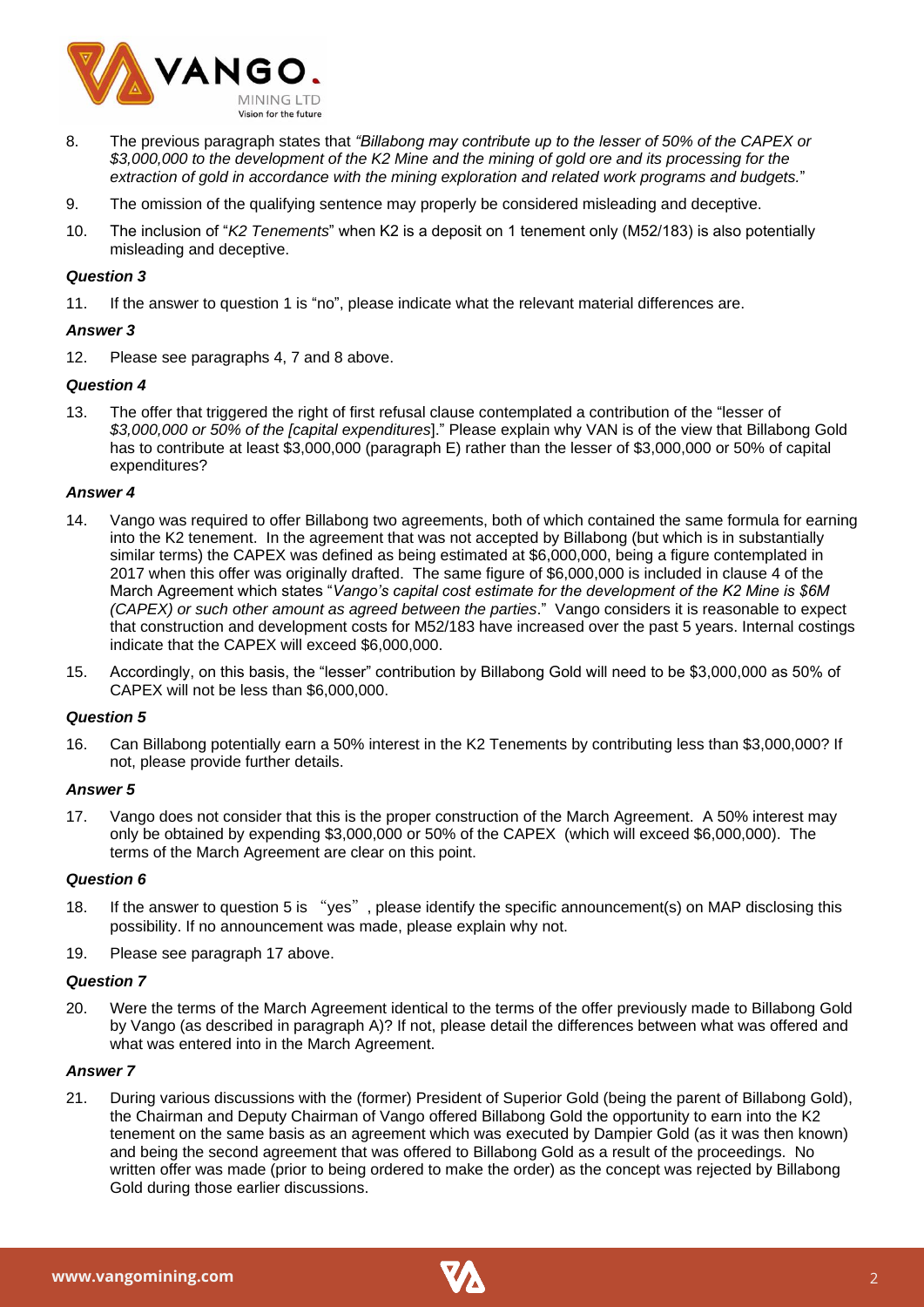

- 8. The previous paragraph states that *"Billabong may contribute up to the lesser of 50% of the CAPEX or \$3,000,000 to the development of the K2 Mine and the mining of gold ore and its processing for the extraction of gold in accordance with the mining exploration and related work programs and budgets.*"
- 9. The omission of the qualifying sentence may properly be considered misleading and deceptive.
- 10. The inclusion of "*K2 Tenements*" when K2 is a deposit on 1 tenement only (M52/183) is also potentially misleading and deceptive.

# *Question 3*

11. If the answer to question 1 is "no", please indicate what the relevant material differences are.

# *Answer 3*

12. Please see paragraphs 4, 7 and 8 above.

# *Question 4*

13. The offer that triggered the right of first refusal clause contemplated a contribution of the "lesser of *\$3,000,000 or 50% of the [capital expenditures*]." Please explain why VAN is of the view that Billabong Gold has to contribute at least \$3,000,000 (paragraph E) rather than the lesser of \$3,000,000 or 50% of capital expenditures?

# *Answer 4*

- 14. Vango was required to offer Billabong two agreements, both of which contained the same formula for earning into the K2 tenement. In the agreement that was not accepted by Billabong (but which is in substantially similar terms) the CAPEX was defined as being estimated at \$6,000,000, being a figure contemplated in 2017 when this offer was originally drafted. The same figure of \$6,000,000 is included in clause 4 of the March Agreement which states "*Vango's capital cost estimate for the development of the K2 Mine is \$6M (CAPEX) or such other amount as agreed between the parties*." Vango considers it is reasonable to expect that construction and development costs for M52/183 have increased over the past 5 years. Internal costings indicate that the CAPEX will exceed \$6,000,000.
- 15. Accordingly, on this basis, the "lesser" contribution by Billabong Gold will need to be \$3,000,000 as 50% of CAPEX will not be less than \$6,000,000.

# *Question 5*

16. Can Billabong potentially earn a 50% interest in the K2 Tenements by contributing less than \$3,000,000? If not, please provide further details.

# *Answer 5*

<span id="page-1-0"></span>17. Vango does not consider that this is the proper construction of the March Agreement. A 50% interest may only be obtained by expending \$3,000,000 or 50% of the CAPEX (which will exceed \$6,000,000). The terms of the March Agreement are clear on this point.

# *Question 6*

- 18. If the answer to question 5 is "yes", please identify the specific announcement(s) on MAP disclosing this possibility. If no announcement was made, please explain why not.
- 19. Please see paragraph [17](#page-1-0) above.

# *Question 7*

20. Were the terms of the March Agreement identical to the terms of the offer previously made to Billabong Gold by Vango (as described in paragraph A)? If not, please detail the differences between what was offered and what was entered into in the March Agreement.

# *Answer 7*

21. During various discussions with the (former) President of Superior Gold (being the parent of Billabong Gold), the Chairman and Deputy Chairman of Vango offered Billabong Gold the opportunity to earn into the K2 tenement on the same basis as an agreement which was executed by Dampier Gold (as it was then known) and being the second agreement that was offered to Billabong Gold as a result of the proceedings. No written offer was made (prior to being ordered to make the order) as the concept was rejected by Billabong Gold during those earlier discussions.

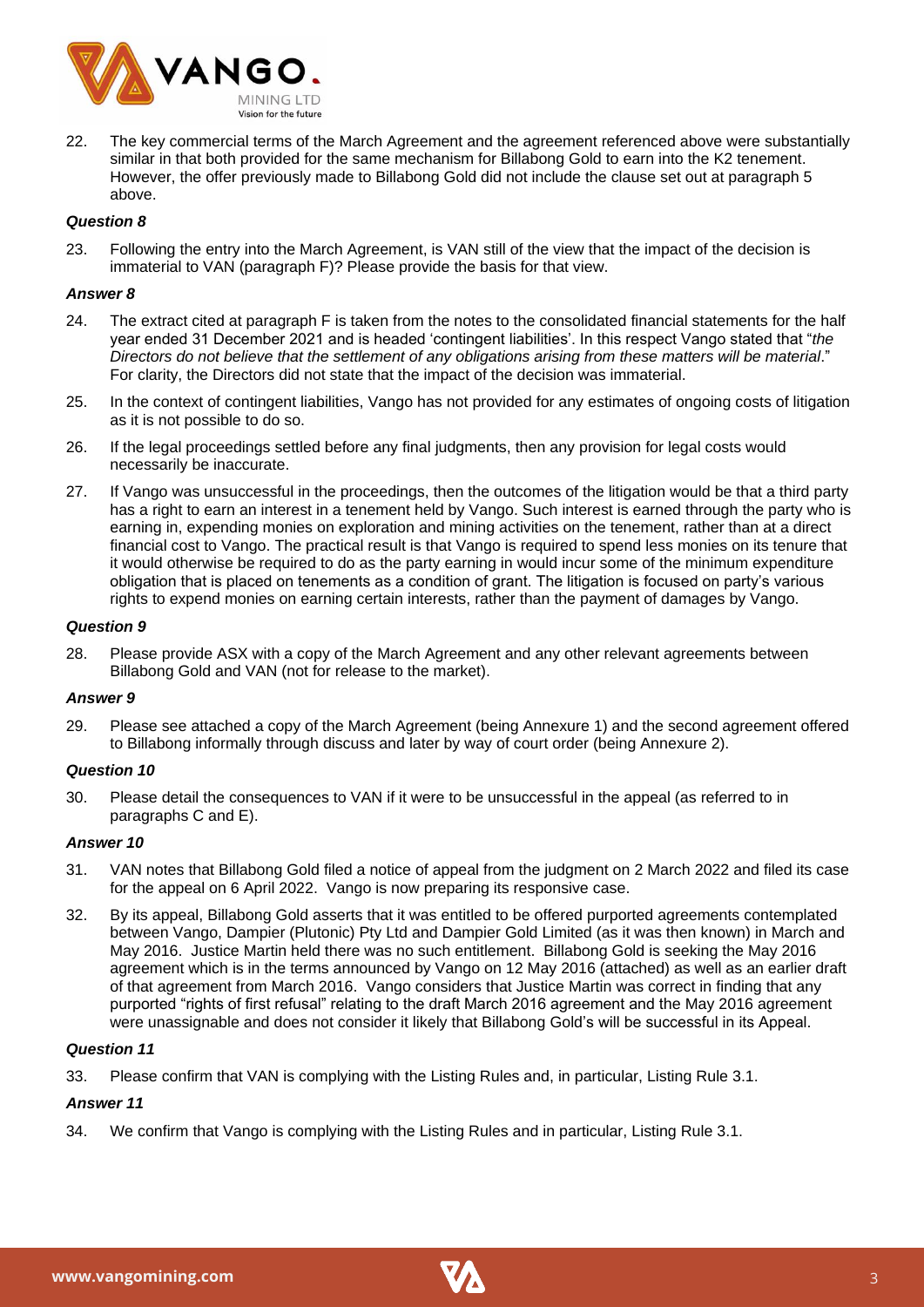

22. The key commercial terms of the March Agreement and the agreement referenced above were substantially similar in that both provided for the same mechanism for Billabong Gold to earn into the K2 tenement. However, the offer previously made to Billabong Gold did not include the clause set out at paragraph 5 above.

# *Question 8*

23. Following the entry into the March Agreement, is VAN still of the view that the impact of the decision is immaterial to VAN (paragraph F)? Please provide the basis for that view.

# *Answer 8*

- 24. The extract cited at paragraph F is taken from the notes to the consolidated financial statements for the half year ended 31 December 2021 and is headed 'contingent liabilities'. In this respect Vango stated that "*the Directors do not believe that the settlement of any obligations arising from these matters will be material*." For clarity, the Directors did not state that the impact of the decision was immaterial.
- 25. In the context of contingent liabilities, Vango has not provided for any estimates of ongoing costs of litigation as it is not possible to do so.
- 26. If the legal proceedings settled before any final judgments, then any provision for legal costs would necessarily be inaccurate.
- 27. If Vango was unsuccessful in the proceedings, then the outcomes of the litigation would be that a third party has a right to earn an interest in a tenement held by Vango. Such interest is earned through the party who is earning in, expending monies on exploration and mining activities on the tenement, rather than at a direct financial cost to Vango. The practical result is that Vango is required to spend less monies on its tenure that it would otherwise be required to do as the party earning in would incur some of the minimum expenditure obligation that is placed on tenements as a condition of grant. The litigation is focused on party's various rights to expend monies on earning certain interests, rather than the payment of damages by Vango.

### *Question 9*

28. Please provide ASX with a copy of the March Agreement and any other relevant agreements between Billabong Gold and VAN (not for release to the market).

# *Answer 9*

29. Please see attached a copy of the March Agreement (being Annexure 1) and the second agreement offered to Billabong informally through discuss and later by way of court order (being Annexure 2).

# *Question 10*

30. Please detail the consequences to VAN if it were to be unsuccessful in the appeal (as referred to in paragraphs C and E).

# *Answer 10*

- 31. VAN notes that Billabong Gold filed a notice of appeal from the judgment on 2 March 2022 and filed its case for the appeal on 6 April 2022. Vango is now preparing its responsive case.
- 32. By its appeal, Billabong Gold asserts that it was entitled to be offered purported agreements contemplated between Vango, Dampier (Plutonic) Pty Ltd and Dampier Gold Limited (as it was then known) in March and May 2016. Justice Martin held there was no such entitlement. Billabong Gold is seeking the May 2016 agreement which is in the terms announced by Vango on 12 May 2016 (attached) as well as an earlier draft of that agreement from March 2016. Vango considers that Justice Martin was correct in finding that any purported "rights of first refusal" relating to the draft March 2016 agreement and the May 2016 agreement were unassignable and does not consider it likely that Billabong Gold's will be successful in its Appeal.

#### *Question 11*

33. Please confirm that VAN is complying with the Listing Rules and, in particular, Listing Rule 3.1.

# *Answer 11*

34. We confirm that Vango is complying with the Listing Rules and in particular, Listing Rule 3.1.

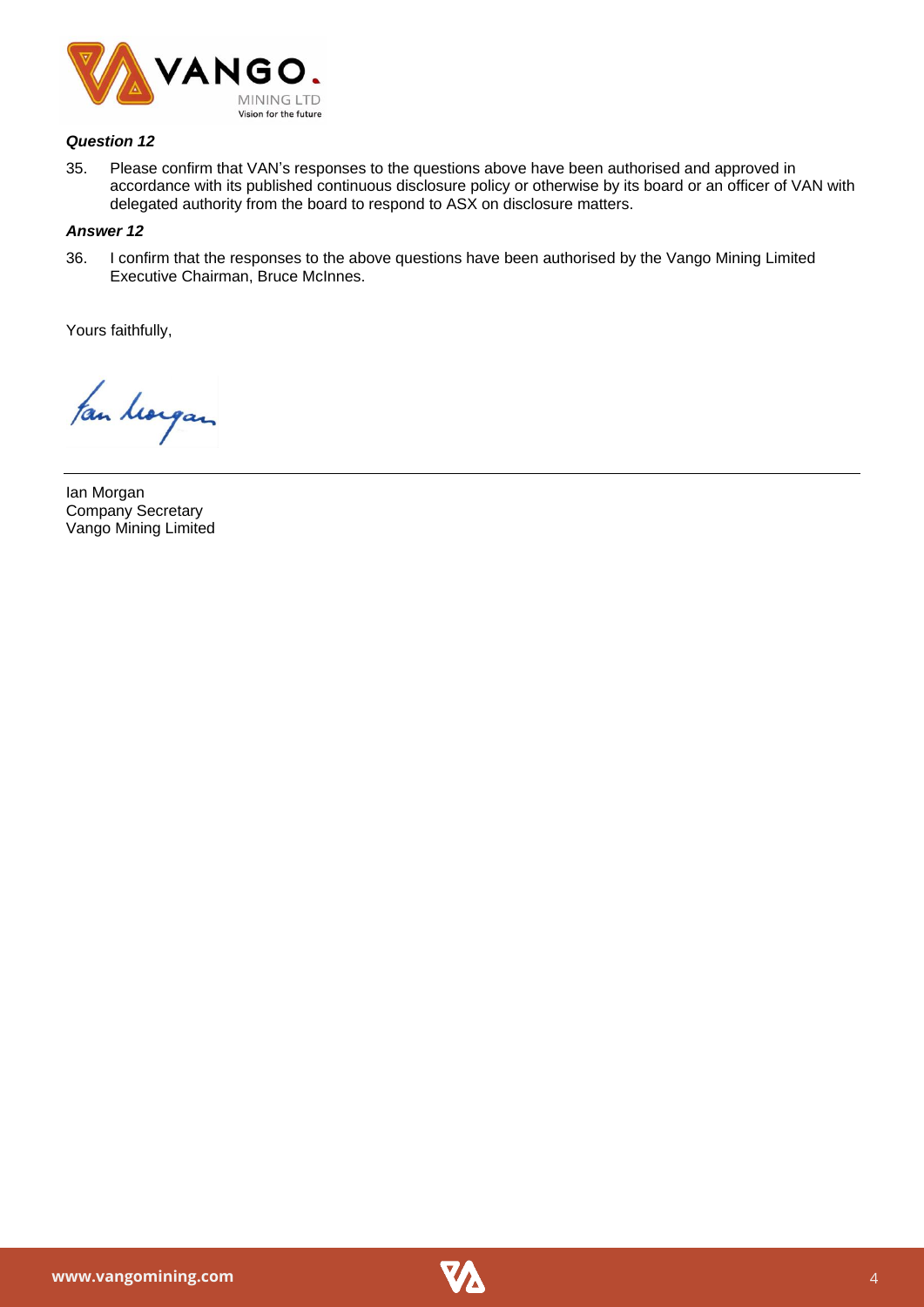

# *Question 12*

35. Please confirm that VAN's responses to the questions above have been authorised and approved in accordance with its published continuous disclosure policy or otherwise by its board or an officer of VAN with delegated authority from the board to respond to ASX on disclosure matters.

# *Answer 12*

36. I confirm that the responses to the above questions have been authorised by the Vango Mining Limited Executive Chairman, Bruce McInnes.

Yours faithfully,

fan horgan

Ian Morgan Company Secretary Vango Mining Limited

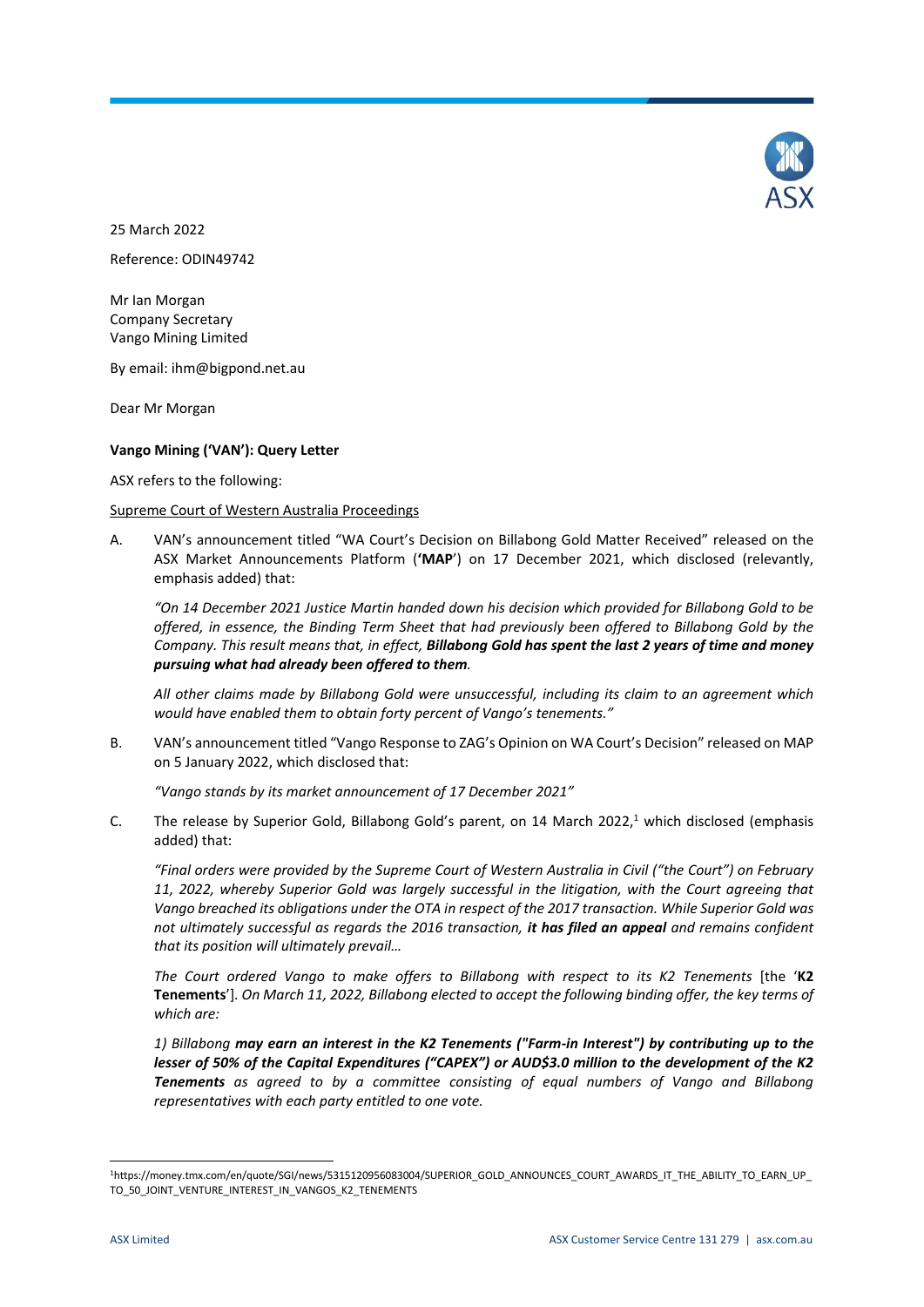

25 March 2022 Reference: ODIN49742

Mr Ian Morgan Company Secretary Vango Mining Limited

By email: ihm@bigpond.net.au

Dear Mr Morgan

# **Vango Mining ('VAN'): Query Letter**

ASX refers to the following:

### Supreme Court of Western Australia Proceedings

<span id="page-4-1"></span>A. VAN's announcement titled "WA Court's Decision on Billabong Gold Matter Received" released on the ASX Market Announcements Platform (**'MAP**') on 17 December 2021, which disclosed (relevantly, emphasis added) that:

*"On 14 December 2021 Justice Martin handed down his decision which provided for Billabong Gold to be offered, in essence, the Binding Term Sheet that had previously been offered to Billabong Gold by the Company. This result means that, in effect, Billabong Gold has spent the last 2 years of time and money pursuing what had already been offered to them.* 

*All other claims made by Billabong Gold were unsuccessful, including its claim to an agreement which would have enabled them to obtain forty percent of Vango's tenements."*

B. VAN's announcement titled "Vango Response to ZAG's Opinion on WA Court's Decision" released on MAP on 5 January 2022, which disclosed that:

*"Vango stands by its market announcement of 17 December 2021"*

<span id="page-4-0"></span>C. The release by Superior Gold, Billabong Gold's parent, on 14 March 2022, $1$  which disclosed (emphasis added) that:

*"Final orders were provided by the Supreme Court of Western Australia in Civil ("the Court") on February 11, 2022, whereby Superior Gold was largely successful in the litigation, with the Court agreeing that Vango breached its obligations under the OTA in respect of the 2017 transaction. While Superior Gold was not ultimately successful as regards the 2016 transaction, it has filed an appeal and remains confident that its position will ultimately prevail…*

*The Court ordered Vango to make offers to Billabong with respect to its K2 Tenements* [the '**K2 Tenements**']*. On March 11, 2022, Billabong elected to accept the following binding offer, the key terms of which are:* 

*1) Billabong may earn an interest in the K2 Tenements ("Farm-in Interest") by contributing up to the lesser of 50% of the Capital Expenditures ("CAPEX") or AUD\$3.0 million to the development of the K2 Tenements as agreed to by a committee consisting of equal numbers of Vango and Billabong representatives with each party entitled to one vote.* 

**.** 

<sup>1</sup>https://money.tmx.com/en/quote/SGI/news/5315120956083004/SUPERIOR\_GOLD\_ANNOUNCES\_COURT\_AWARDS\_IT\_THE\_ABILITY\_TO\_EARN\_UP\_ TO 50 JOINT VENTURE INTEREST IN VANGOS K2 TENEMENTS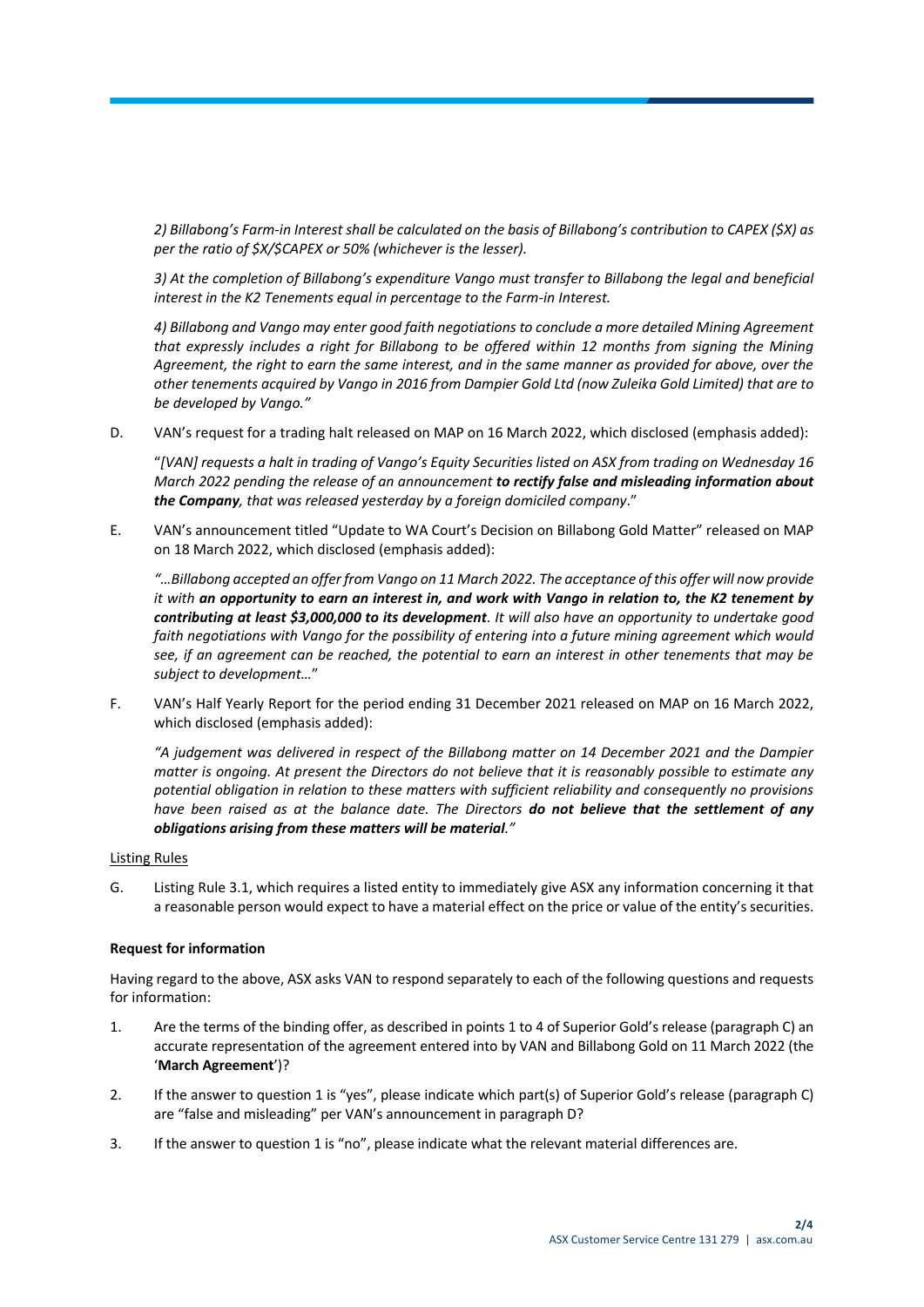*2) Billabong's Farm-in Interest shall be calculated on the basis of Billabong's contribution to CAPEX (\$X) as per the ratio of \$X/\$CAPEX or 50% (whichever is the lesser).* 

*3) At the completion of Billabong's expenditure Vango must transfer to Billabong the legal and beneficial interest in the K2 Tenements equal in percentage to the Farm-in Interest.* 

*4) Billabong and Vango may enter good faith negotiations to conclude a more detailed Mining Agreement that expressly includes a right for Billabong to be offered within 12 months from signing the Mining Agreement, the right to earn the same interest, and in the same manner as provided for above, over the other tenements acquired by Vango in 2016 from Dampier Gold Ltd (now Zuleika Gold Limited) that are to be developed by Vango."*

<span id="page-5-0"></span>D. VAN's request for a trading halt released on MAP on 16 March 2022, which disclosed (emphasis added):

"*[VAN] requests a halt in trading of Vango's Equity Securities listed on ASX from trading on Wednesday 16 March 2022 pending the release of an announcement to rectify false and misleading information about the Company, that was released yesterday by a foreign domiciled company*."

<span id="page-5-2"></span>E. VAN's announcement titled "Update to WA Court's Decision on Billabong Gold Matter" released on MAP on 18 March 2022, which disclosed (emphasis added):

*"…Billabong accepted an offer from Vango on 11 March 2022. The acceptance of this offer will now provide it with an opportunity to earn an interest in, and work with Vango in relation to, the K2 tenement by contributing at least \$3,000,000 to its development. It will also have an opportunity to undertake good faith negotiations with Vango for the possibility of entering into a future mining agreement which would see, if an agreement can be reached, the potential to earn an interest in other tenements that may be subject to development…*"

<span id="page-5-3"></span>F. VAN's Half Yearly Report for the period ending 31 December 2021 released on MAP on 16 March 2022, which disclosed (emphasis added):

*"A judgement was delivered in respect of the Billabong matter on 14 December 2021 and the Dampier matter is ongoing. At present the Directors do not believe that it is reasonably possible to estimate any potential obligation in relation to these matters with sufficient reliability and consequently no provisions have been raised as at the balance date. The Directors do not believe that the settlement of any obligations arising from these matters will be material."*

# Listing Rules

G. Listing Rule 3.1, which requires a listed entity to immediately give ASX any information concerning it that a reasonable person would expect to have a material effect on the price or value of the entity's securities.

# **Request for information**

Having regard to the above, ASX asks VAN to respond separately to each of the following questions and requests for information:

- <span id="page-5-1"></span>1. Are the terms of the binding offer, as described in points 1 to 4 of Superior Gold's release (paragrap[h C\)](#page-4-0) an accurate representation of the agreement entered into by VAN and Billabong Gold on 11 March 2022 (the '**March Agreement**')?
- 2. If the answer to question 1 is "yes", please indicate which part(s) of Superior Gold's release (paragraph [C\)](#page-4-0) are "false and misleading" per VAN's announcement in paragraph [D?](#page-5-0)
- 3. If the answer to questio[n 1](#page-5-1) is "no", please indicate what the relevant material differences are.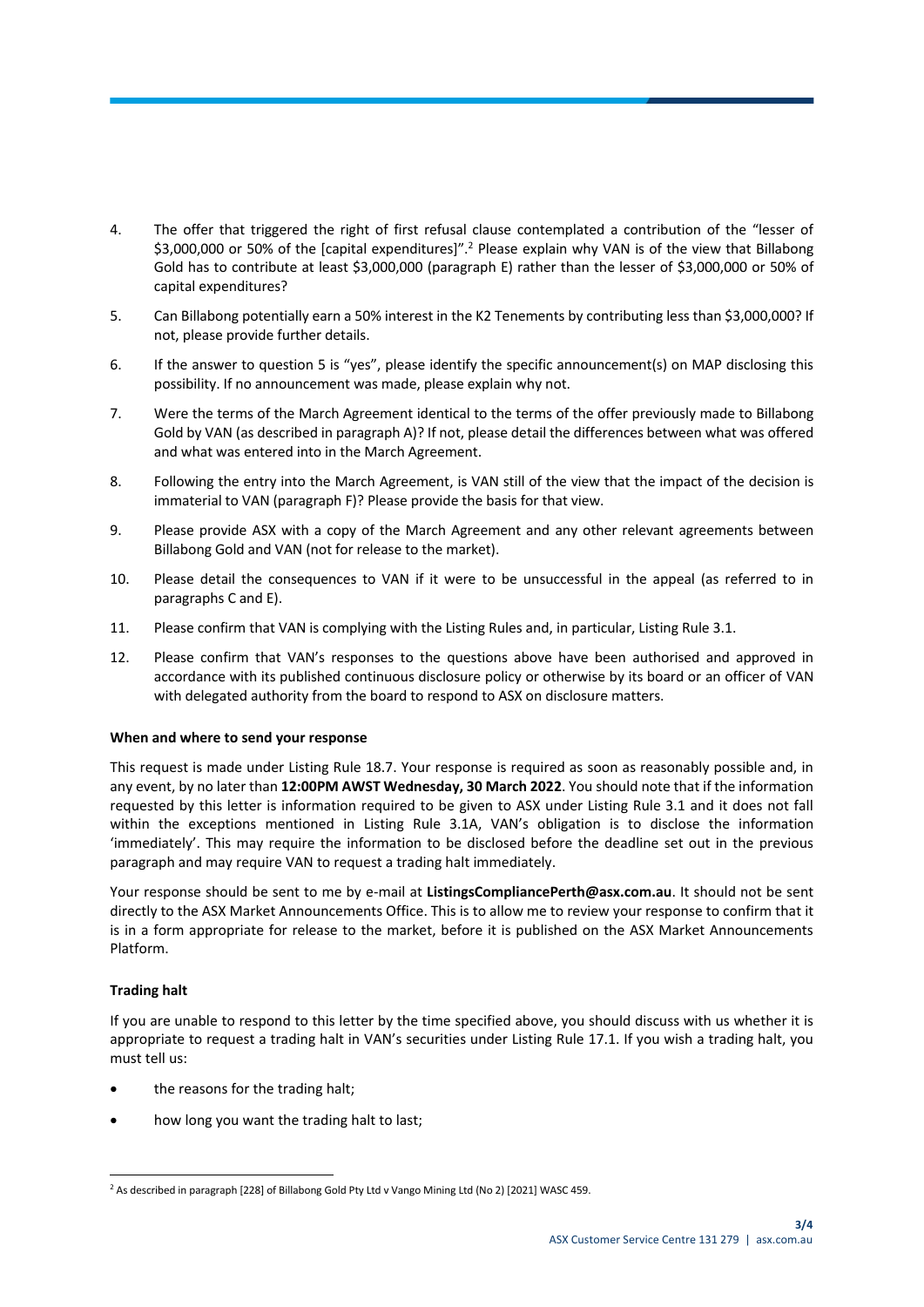- 4. The offer that triggered the right of first refusal clause contemplated a contribution of the "lesser of \$3,000,000 or 50% of the [capital expenditures]".<sup>2</sup> Please explain why VAN is of the view that Billabong Gold has to contribute at least \$3,000,000 (paragraph [E\)](#page-5-2) rather than the lesser of \$3,000,000 or 50% of capital expenditures?
- <span id="page-6-0"></span>5. Can Billabong potentially earn a 50% interest in the K2 Tenements by contributing less than \$3,000,000? If not, please provide further details.
- 6. If the answer to question [5](#page-6-0) is "yes", please identify the specific announcement(s) on MAP disclosing this possibility. If no announcement was made, please explain why not.
- 7. Were the terms of the March Agreement identical to the terms of the offer previously made to Billabong Gold by VAN (as described in paragrap[h A\)](#page-4-1)? If not, please detail the differences between what was offered and what was entered into in the March Agreement.
- 8. Following the entry into the March Agreement, is VAN still of the view that the impact of the decision is immaterial to VAN (paragrap[h F\)](#page-5-3)? Please provide the basis for that view.
- 9. Please provide ASX with a copy of the March Agreement and any other relevant agreements between Billabong Gold and VAN (not for release to the market).
- 10. Please detail the consequences to VAN if it were to be unsuccessful in the appeal (as referred to in paragraph[s C](#page-4-0) an[d E\)](#page-5-2).
- 11. Please confirm that VAN is complying with the Listing Rules and, in particular, Listing Rule 3.1.
- 12. Please confirm that VAN's responses to the questions above have been authorised and approved in accordance with its published continuous disclosure policy or otherwise by its board or an officer of VAN with delegated authority from the board to respond to ASX on disclosure matters.

# **When and where to send your response**

This request is made under Listing Rule 18.7. Your response is required as soon as reasonably possible and, in any event, by no later than **12:00PM AWST Wednesday, 30 March 2022**. You should note that if the information requested by this letter is information required to be given to ASX under Listing Rule 3.1 and it does not fall within the exceptions mentioned in Listing Rule 3.1A, VAN's obligation is to disclose the information 'immediately'. This may require the information to be disclosed before the deadline set out in the previous paragraph and may require VAN to request a trading halt immediately.

Your response should be sent to me by e-mail at **ListingsCompliancePerth@asx.com.au**. It should not be sent directly to the ASX Market Announcements Office. This is to allow me to review your response to confirm that it is in a form appropriate for release to the market, before it is published on the ASX Market Announcements Platform.

# **Trading halt**

If you are unable to respond to this letter by the time specified above, you should discuss with us whether it is appropriate to request a trading halt in VAN's securities under Listing Rule 17.1. If you wish a trading halt, you must tell us:

- the reasons for the trading halt;
- how long you want the trading halt to last;

<sup>1</sup> <sup>2</sup> As described in paragraph [228] of Billabong Gold Pty Ltd v Vango Mining Ltd (No 2) [2021] WASC 459.